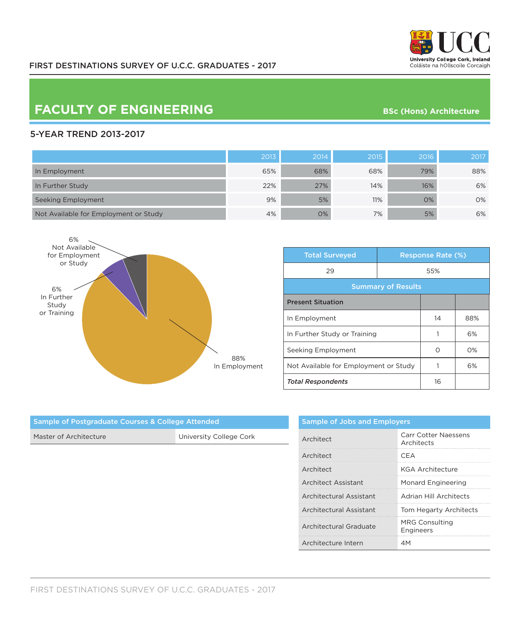

# **FACULTY OF ENGINEERING** BSc (Hons) Architecture

### 5-YEAR TREND 2013-2017

|                                       | 2013 | 2014 | 2015 | 2016 | 2017 |
|---------------------------------------|------|------|------|------|------|
| In Employment                         | 65%  | 68%  | 68%  | 79%  | 88%  |
| In Further Study                      | 22%  | 27%  | 14%  | 16%  | 6%   |
| Seeking Employment                    | 9%   | 5%   | 11%  | O%   | 0%   |
| Not Available for Employment or Study | 4%   | 0%   | 7%   | 5%   | 6%   |



| <b>Total Surveyed</b>                 |  | <b>Response Rate (%)</b> |       |  |
|---------------------------------------|--|--------------------------|-------|--|
| 29                                    |  | 55%                      |       |  |
| <b>Summary of Results</b>             |  |                          |       |  |
| <b>Present Situation</b>              |  |                          |       |  |
| In Employment                         |  | 14                       | 88%   |  |
| In Further Study or Training          |  |                          | 6%    |  |
| Seeking Employment                    |  | ∩                        | $O\%$ |  |
| Not Available for Employment or Study |  |                          | 6%    |  |
| <b>Total Respondents</b>              |  | 16                       |       |  |

| Architect               | <b>Carr Cotter Naessens</b><br>Architects |
|-------------------------|-------------------------------------------|
| Architect               | CFA                                       |
| Architect               | <b>KGA Architecture</b>                   |
| Architect Assistant     | <b>Monard Engineering</b>                 |
| Architectural Assistant | Adrian Hill Architects                    |
| Architectural Assistant | Tom Hegarty Architects                    |
| Architectural Graduate  | <b>MRG Consulting</b><br><b>Engineers</b> |
| Architecture Intern     | ΔM                                        |

| Sample of Postgraduate Courses & College Attended |                         |  |  |
|---------------------------------------------------|-------------------------|--|--|
| Master of Architecture                            | University College Cork |  |  |
|                                                   |                         |  |  |